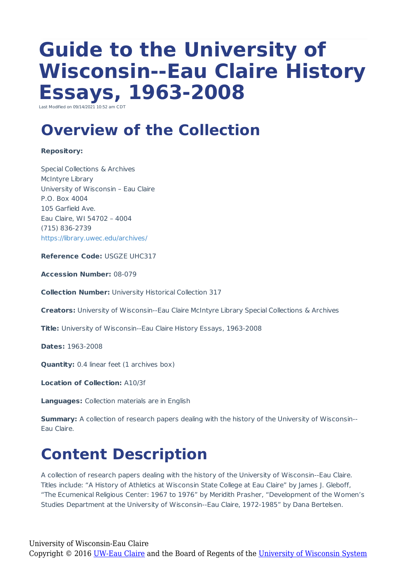# **Guide to the University of Wisconsin--Eau Claire History Essays, 1963-2008**

Last Modified on 00/14/2021 10:52 am  $C$ 

### **Overview of the Collection**

#### **Repository:**

Special Collections & Archives McIntyre Library University of Wisconsin – Eau Claire P.O. Box 4004 105 Garfield Ave. Eau Claire, WI 54702 – 4004 (715) 836-2739 https://library.uwec.edu/archives/

**Reference Code:** USGZE UHC317

**Accession Number:** 08-079

**Collection Number:** University Historical Collection 317

**Creators:** University of Wisconsin--Eau Claire McIntyre Library Special Collections & Archives

**Title:** University of Wisconsin--Eau Claire History Essays, 1963-2008

**Dates:** 1963-2008

**Quantity:** 0.4 linear feet (1 archives box)

**Location of Collection:** A10/3f

**Languages:** Collection materials are in English

**Summary:** A collection of research papers dealing with the history of the University of Wisconsin--Eau Claire.

### **Content Description**

A collection of research papers dealing with the history of the University of Wisconsin--Eau Claire. Titles include: "A History of Athletics at Wisconsin State College at Eau Claire" by James J. Gleboff, "The Ecumenical Religious Center: 1967 to 1976" by Meridith Prasher, "Development of the Women's Studies Department at the University of Wisconsin--Eau Claire, 1972-1985" by Dana Bertelsen.